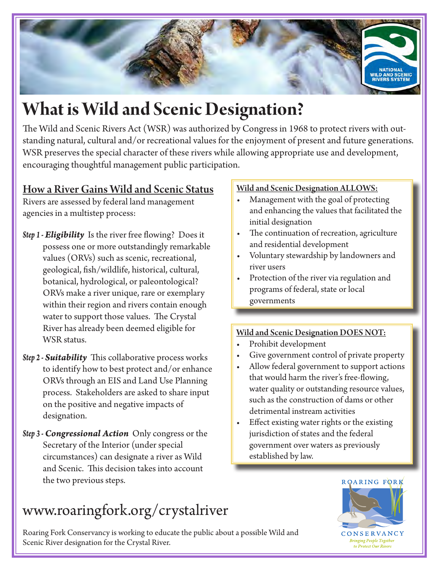

# **What is Wild and Scenic Designation?**

The Wild and Scenic Rivers Act (WSR) was authorized by Congress in 1968 to protect rivers with outstanding natural, cultural and/or recreational values for the enjoyment of present and future generations. WSR preserves the special character of these rivers while allowing appropriate use and development, encouraging thoughtful management public participation.

### How a River Gains Wild and Scenic Status

Rivers are assessed by federal land management agencies in a multistep process:

- *Step 1 Eligibility* Is the river free flowing? Does it possess one or more outstandingly remarkable values (ORVs) such as scenic, recreational, geological, fsh/wildlife, historical, cultural, botanical, hydrological, or paleontological? ORVs make a river unique, rare or exemplary within their region and rivers contain enough water to support those values. The Crystal River has already been deemed eligible for WSR status.
- *Step 2 Suitability* This collaborative process works to identify how to best protect and/or enhance ORVs through an EIS and Land Use Planning process. Stakeholders are asked to share input on the positive and negative impacts of designation.
- *Step 3 Congressional Action* Only congress or the Secretary of the Interior (under special circumstances) can designate a river as Wild and Scenic. This decision takes into account the two previous steps.

# www.roaringfork.org/crystalriver

Roaring Fork Conservancy is working to educate the public about a possible Wild and Scenic River designation for the Crystal River.

#### Wild and Scenic Designation ALLOWS:

- Management with the goal of protecting and enhancing the values that facilitated the initial designation
- The continuation of recreation, agriculture and residential development
- r Voluntary stewardship by landowners and river users
- Protection of the river via regulation and programs of federal, state or local governments

#### Wild and Scenic Designation DOES NOT:

- Prohibit development
- Give government control of private property
- Allow federal government to support actions that would harm the river's free-fowing, water quality or outstanding resource values, such as the construction of dams or other detrimental instream activities
- Effect existing water rights or the existing jurisdiction of states and the federal government over waters as previously established by law.



**CONSERVANCY Bringing People Together** to Protect Our Rivers